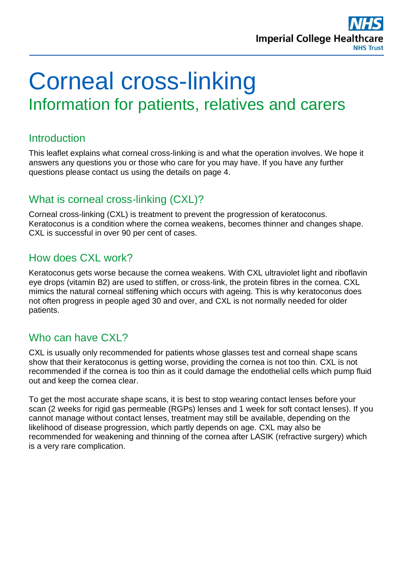

# Corneal cross-linking Information for patients, relatives and carers

#### **Introduction**

This leaflet explains what corneal cross-linking is and what the operation involves. We hope it answers any questions you or those who care for you may have. If you have any further questions please contact us using the details on page 4.

# What is corneal cross-linking (CXL)?

Corneal cross-linking (CXL) is treatment to prevent the progression of keratoconus. Keratoconus is a condition where the cornea weakens, becomes thinner and changes shape. CXL is successful in over 90 per cent of cases.

# How does CXL work?

Keratoconus gets worse because the cornea weakens. With CXL ultraviolet light and riboflavin eye drops (vitamin B2) are used to stiffen, or cross-link, the protein fibres in the cornea. CXL mimics the natural corneal stiffening which occurs with ageing. This is why keratoconus does not often progress in people aged 30 and over, and CXL is not normally needed for older patients.

# Who can have CXL?

CXL is usually only recommended for patients whose glasses test and corneal shape scans show that their keratoconus is getting worse, providing the cornea is not too thin. CXL is not recommended if the cornea is too thin as it could damage the endothelial cells which pump fluid out and keep the cornea clear.

To get the most accurate shape scans, it is best to stop wearing contact lenses before your scan (2 weeks for rigid gas permeable (RGPs) lenses and 1 week for soft contact lenses). If you cannot manage without contact lenses, treatment may still be available, depending on the likelihood of disease progression, which partly depends on age. CXL may also be recommended for weakening and thinning of the cornea after LASIK (refractive surgery) which is a very rare complication.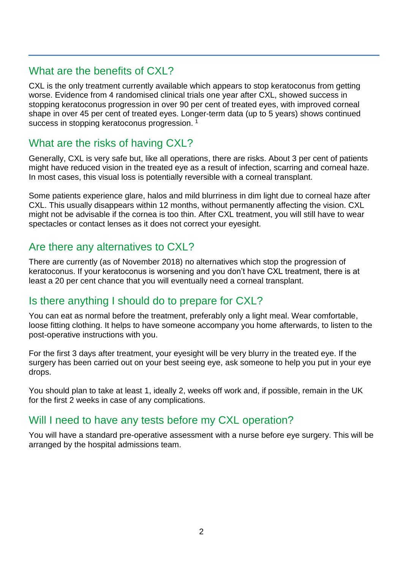# What are the benefits of CXL?

CXL is the only treatment currently available which appears to stop keratoconus from getting worse. Evidence from 4 randomised clinical trials one year after CXL, showed success in stopping keratoconus progression in over 90 per cent of treated eyes, with improved corneal shape in over 45 per cent of treated eyes. Longer-term data (up to 5 years) shows continued success in stopping keratoconus progression.<sup>1</sup>

# What are the risks of having CXL?

Generally, CXL is very safe but, like all operations, there are risks. About 3 per cent of patients might have reduced vision in the treated eye as a result of infection, scarring and corneal haze. In most cases, this visual loss is potentially reversible with a corneal transplant.

Some patients experience glare, halos and mild blurriness in dim light due to corneal haze after CXL. This usually disappears within 12 months, without permanently affecting the vision. CXL might not be advisable if the cornea is too thin. After CXL treatment, you will still have to wear spectacles or contact lenses as it does not correct your eyesight.

# Are there any alternatives to CXL?

There are currently (as of November 2018) no alternatives which stop the progression of keratoconus. If your keratoconus is worsening and you don't have CXL treatment, there is at least a 20 per cent chance that you will eventually need a corneal transplant.

# Is there anything I should do to prepare for CXL?

You can eat as normal before the treatment, preferably only a light meal. Wear comfortable, loose fitting clothing. It helps to have someone accompany you home afterwards, to listen to the post-operative instructions with you.

For the first 3 days after treatment, your eyesight will be very blurry in the treated eye. If the surgery has been carried out on your best seeing eye, ask someone to help you put in your eye drops.

You should plan to take at least 1, ideally 2, weeks off work and, if possible, remain in the UK for the first 2 weeks in case of any complications.

# Will I need to have any tests before my CXL operation?

You will have a standard pre-operative assessment with a nurse before eye surgery. This will be arranged by the hospital admissions team.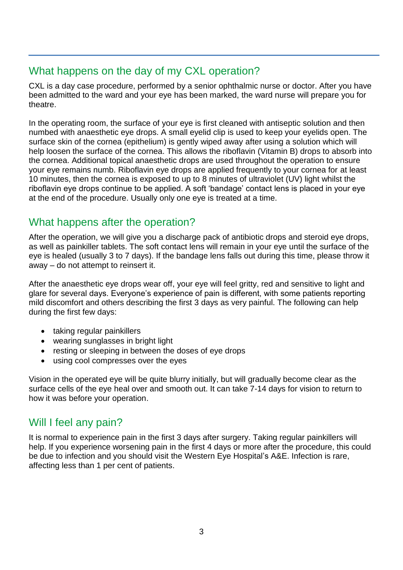# What happens on the day of my CXL operation?

CXL is a day case procedure, performed by a senior ophthalmic nurse or doctor. After you have been admitted to the ward and your eye has been marked, the ward nurse will prepare you for theatre.

In the operating room, the surface of your eye is first cleaned with antiseptic solution and then numbed with anaesthetic eye drops. A small eyelid clip is used to keep your eyelids open. The surface skin of the cornea (epithelium) is gently wiped away after using a solution which will help loosen the surface of the cornea. This allows the riboflavin (Vitamin B) drops to absorb into the cornea. Additional topical anaesthetic drops are used throughout the operation to ensure your eye remains numb. Riboflavin eye drops are applied frequently to your cornea for at least 10 minutes, then the cornea is exposed to up to 8 minutes of ultraviolet (UV) light whilst the riboflavin eye drops continue to be applied. A soft 'bandage' contact lens is placed in your eye at the end of the procedure. Usually only one eye is treated at a time.

# What happens after the operation?

After the operation, we will give you a discharge pack of antibiotic drops and steroid eye drops, as well as painkiller tablets. The soft contact lens will remain in your eye until the surface of the eye is healed (usually 3 to 7 days). If the bandage lens falls out during this time, please throw it away – do not attempt to reinsert it.

After the anaesthetic eye drops wear off, your eye will feel gritty, red and sensitive to light and glare for several days. Everyone's experience of pain is different, with some patients reporting mild discomfort and others describing the first 3 days as very painful. The following can help during the first few days:

- taking regular painkillers
- wearing sunglasses in bright light
- resting or sleeping in between the doses of eye drops
- using cool compresses over the eyes

Vision in the operated eye will be quite blurry initially, but will gradually become clear as the surface cells of the eye heal over and smooth out. It can take 7-14 days for vision to return to how it was before your operation.

# Will I feel any pain?

It is normal to experience pain in the first 3 days after surgery. Taking regular painkillers will help. If you experience worsening pain in the first 4 days or more after the procedure, this could be due to infection and you should visit the Western Eye Hospital's A&E. Infection is rare, affecting less than 1 per cent of patients.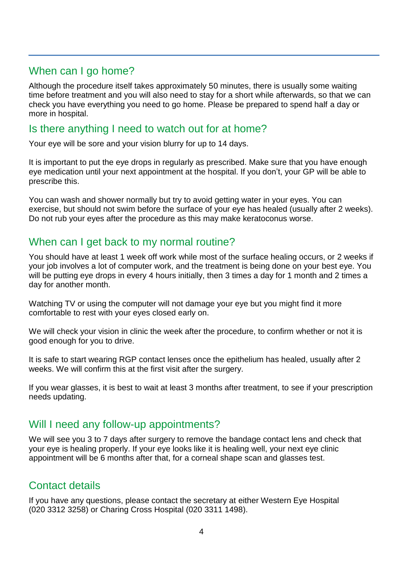# When can I go home?

Although the procedure itself takes approximately 50 minutes, there is usually some waiting time before treatment and you will also need to stay for a short while afterwards, so that we can check you have everything you need to go home. Please be prepared to spend half a day or more in hospital.

#### Is there anything I need to watch out for at home?

Your eye will be sore and your vision blurry for up to 14 days.

It is important to put the eye drops in regularly as prescribed. Make sure that you have enough eye medication until your next appointment at the hospital. If you don't, your GP will be able to prescribe this.

You can wash and shower normally but try to avoid getting water in your eyes. You can exercise, but should not swim before the surface of your eye has healed (usually after 2 weeks). Do not rub your eyes after the procedure as this may make keratoconus worse.

# When can I get back to my normal routine?

You should have at least 1 week off work while most of the surface healing occurs, or 2 weeks if your job involves a lot of computer work, and the treatment is being done on your best eye. You will be putting eye drops in every 4 hours initially, then 3 times a day for 1 month and 2 times a day for another month.

Watching TV or using the computer will not damage your eye but you might find it more comfortable to rest with your eyes closed early on.

We will check your vision in clinic the week after the procedure, to confirm whether or not it is good enough for you to drive.

It is safe to start wearing RGP contact lenses once the epithelium has healed, usually after 2 weeks. We will confirm this at the first visit after the surgery.

If you wear glasses, it is best to wait at least 3 months after treatment, to see if your prescription needs updating.

# Will I need any follow-up appointments?

We will see you 3 to 7 days after surgery to remove the bandage contact lens and check that your eye is healing properly. If your eye looks like it is healing well, your next eye clinic appointment will be 6 months after that, for a corneal shape scan and glasses test.

# Contact details

If you have any questions, please contact the secretary at either Western Eye Hospital (020 3312 3258) or Charing Cross Hospital (020 3311 1498).